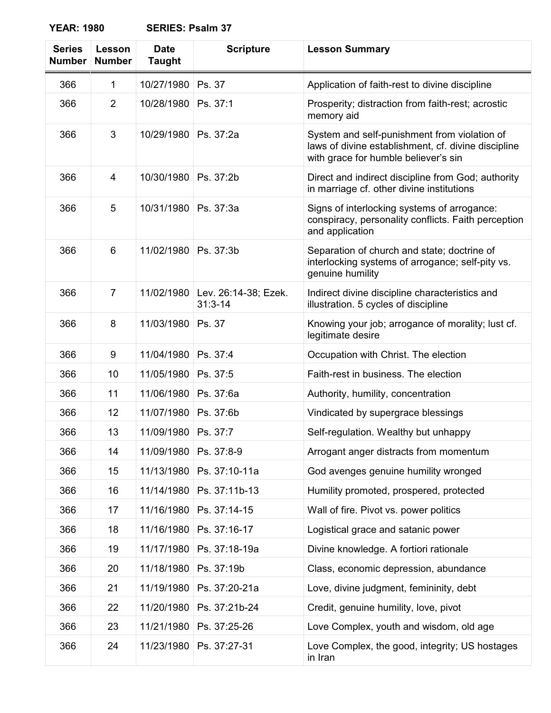**YEAR: 1980 SERIES: Psalm 37**

| <b>Series</b><br><b>Number</b> | Lesson<br><b>Number</b> | <b>Date</b><br><b>Taught</b> | <b>Scripture</b>                    | <b>Lesson Summary</b>                                                                                                                       |
|--------------------------------|-------------------------|------------------------------|-------------------------------------|---------------------------------------------------------------------------------------------------------------------------------------------|
| 366                            | 1                       | 10/27/1980                   | Ps. 37                              | Application of faith-rest to divine discipline                                                                                              |
| 366                            | $\overline{2}$          | 10/28/1980                   | Ps. 37:1                            | Prosperity; distraction from faith-rest; acrostic<br>memory aid                                                                             |
| 366                            | 3                       | 10/29/1980                   | Ps. 37:2a                           | System and self-punishment from violation of<br>laws of divine establishment, cf. divine discipline<br>with grace for humble believer's sin |
| 366                            | 4                       | 10/30/1980                   | Ps. 37:2b                           | Direct and indirect discipline from God; authority<br>in marriage cf. other divine institutions                                             |
| 366                            | 5                       | 10/31/1980                   | Ps. 37:3a                           | Signs of interlocking systems of arrogance:<br>conspiracy, personality conflicts. Faith perception<br>and application                       |
| 366                            | 6                       | 11/02/1980                   | Ps. 37:3b                           | Separation of church and state; doctrine of<br>interlocking systems of arrogance; self-pity vs.<br>genuine humility                         |
| 366                            | $\overline{7}$          | 11/02/1980                   | Lev. 26:14-38; Ezek.<br>$31:3 - 14$ | Indirect divine discipline characteristics and<br>illustration. 5 cycles of discipline                                                      |
| 366                            | 8                       | 11/03/1980                   | Ps. 37                              | Knowing your job; arrogance of morality; lust cf.<br>legitimate desire                                                                      |
| 366                            | 9                       | 11/04/1980                   | Ps. 37:4                            | Occupation with Christ. The election                                                                                                        |
| 366                            | 10                      | 11/05/1980                   | Ps. 37:5                            | Faith-rest in business. The election                                                                                                        |
| 366                            | 11                      | 11/06/1980                   | Ps. 37:6a                           | Authority, humility, concentration                                                                                                          |
| 366                            | 12                      | 11/07/1980                   | Ps. 37:6b                           | Vindicated by supergrace blessings                                                                                                          |
| 366                            | 13                      | 11/09/1980                   | Ps. 37:7                            | Self-regulation. Wealthy but unhappy                                                                                                        |
| 366                            | 14                      | 11/09/1980                   | Ps. 37:8-9                          | Arrogant anger distracts from momentum                                                                                                      |
| 366                            | 15                      | 11/13/1980                   | Ps. 37:10-11a                       | God avenges genuine humility wronged                                                                                                        |
| 366                            | 16                      | 11/14/1980                   | Ps. 37:11b-13                       | Humility promoted, prospered, protected                                                                                                     |
| 366                            | 17                      | 11/16/1980                   | Ps. 37:14-15                        | Wall of fire. Pivot vs. power politics                                                                                                      |
| 366                            | 18                      | 11/16/1980                   | Ps. 37:16-17                        | Logistical grace and satanic power                                                                                                          |
| 366                            | 19                      | 11/17/1980                   | Ps. 37:18-19a                       | Divine knowledge. A fortiori rationale                                                                                                      |
| 366                            | 20                      | 11/18/1980                   | Ps. 37:19b                          | Class, economic depression, abundance                                                                                                       |
| 366                            | 21                      | 11/19/1980                   | Ps. 37:20-21a                       | Love, divine judgment, femininity, debt                                                                                                     |
| 366                            | 22                      | 11/20/1980                   | Ps. 37:21b-24                       | Credit, genuine humility, love, pivot                                                                                                       |
| 366                            | 23                      | 11/21/1980                   | Ps. 37:25-26                        | Love Complex, youth and wisdom, old age                                                                                                     |
| 366                            | 24                      | 11/23/1980                   | Ps. 37:27-31                        | Love Complex, the good, integrity; US hostages<br>in Iran                                                                                   |